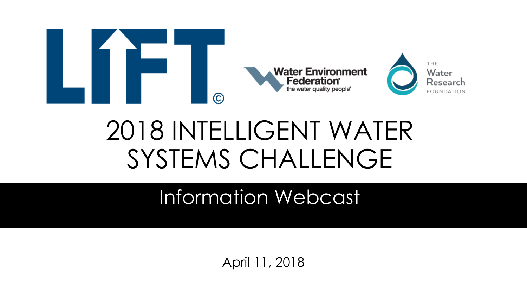

### 2018 INTELLIGENT WATER SYSTEMS CHALLENGE

#### Information Webcast

April 11, 2018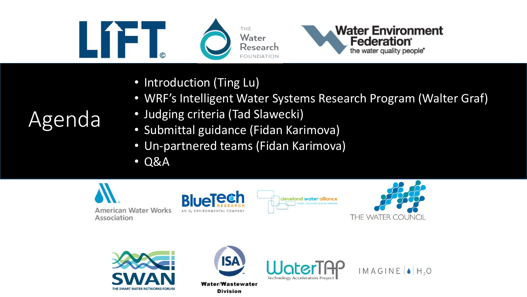





- Introduction (Ting Lu)
- WRF's Intelligent Water Systems Research Program (Walter Graf)
- Judging criteria (Tad Slawecki)
- Submittal guidance (Fidan Karimova)
- Un-partnered teams (Fidan Karimova)
- Q&A















### Agenda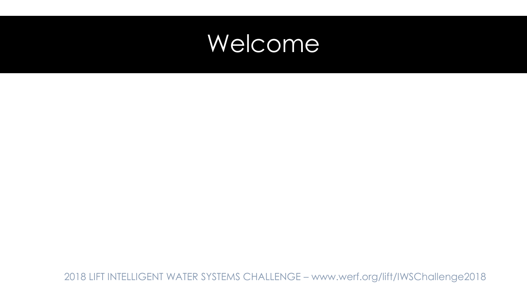#### Welcome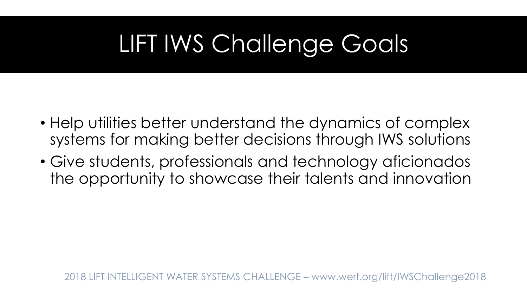### LIFT IWS Challenge Goals

- Help utilities better understand the dynamics of complex systems for making better decisions through IWS solutions
- Give students, professionals and technology aficionados the opportunity to showcase their talents and innovation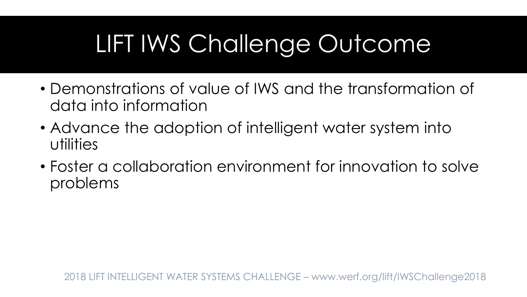### LIFT IWS Challenge Outcome

- Demonstrations of value of IWS and the transformation of data into information
- Advance the adoption of intelligent water system into utilities
- Foster a collaboration environment for innovation to solve problems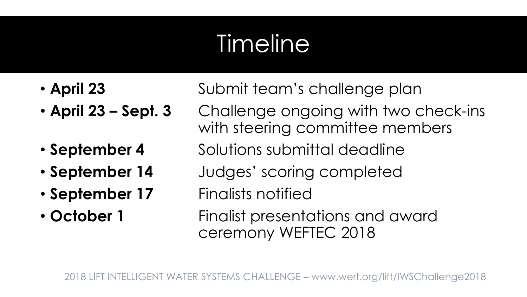### Timeline

- 
- 
- 
- 
- 
- 

• **April 23** Submit team's challenge plan

- **April 23 – Sept. 3** Challenge ongoing with two check-ins with steering committee members
- **September 4** Solutions submittal deadline
- **September 14** Judges' scoring completed
- **September 17** Finalists notified
- **October 1** Finalist presentations and award ceremony WEFTEC 2018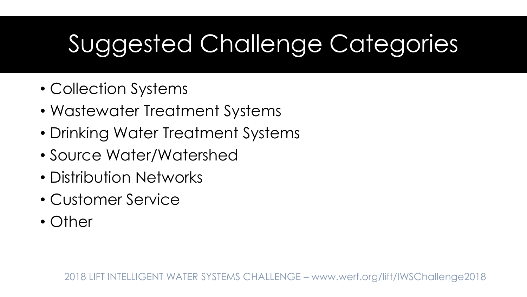### Suggested Challenge Categories

- Collection Systems
- Wastewater Treatment Systems
- Drinking Water Treatment Systems
- Source Water/Watershed
- Distribution Networks
- Customer Service
- Other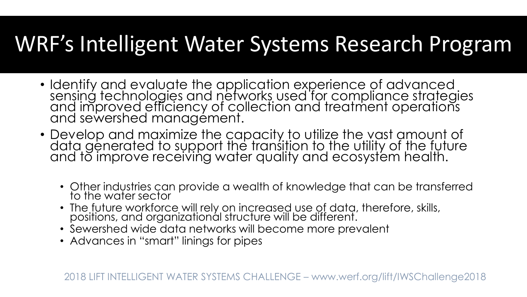#### WRF's Intelligent Water Systems Research Program

- Identify and evaluate the application experience of advanced sensing technologies and networks used for compliance strategies and improved efficiency of collection and treatment operations and sewershed management.
- Develop and maximize the capacity to utilize the vast amount of data generated to support the transition to the utility of the future and to improve receiving water quality and ecosystem health.
	- Other industries can provide a wealth of knowledge that can be transferred to the water sector
	- The future workforce will rely on increased use of data, therefore, skills, positions, and organizational structure will be different.
	- Sewershed wide data networks will become more prevalent
	- Advances in "smart" linings for pipes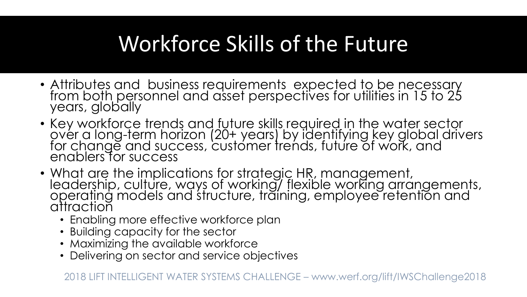#### Workforce Skills of the Future

- Attributes and business requirements expected to be necessary from both personnel and asset perspectives for utilities in 15 to 25 years, globally
- Key workforce trends and future skills required in the water sector over a long-term horizon (20+ years) by identifying key global drivers for change and success, customer trends, future of work, and enablers for success
- What are the implications for strategic HR, management, leadership, culture, ways of working/ flexible working arrangements, operating models and structure, training, employee retention and attraction
	- Enabling more effective workforce plan
	- Building capacity for the sector
	- Maximizing the available workforce
	- Delivering on sector and service objectives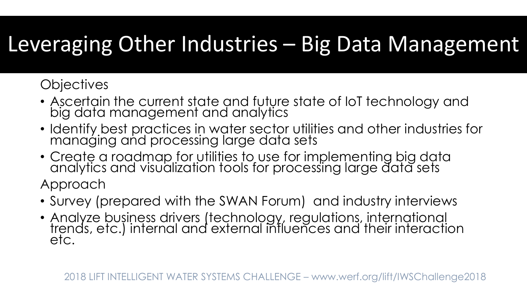#### Leveraging Other Industries – Big Data Management

#### **Objectives**

- Ascertain the current state and future state of IoT technology and big data management and analytics
- Identify best practices in water sector utilities and other industries for managing and processing large data sets
- Create a roadmap for utilities to use for implementing big data analytics and visualization tools for processing large data sets Approach
- Survey (prepared with the SWAN Forum) and industry interviews
- Analyze business drivers (technology, regulations, international trends, etc.) internal and external influences and their interaction etc.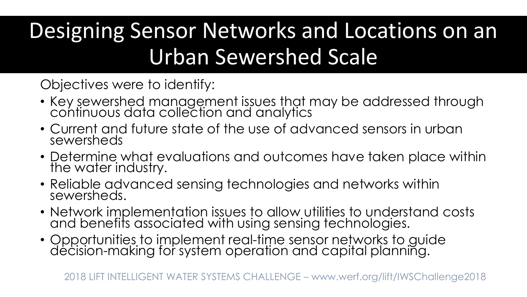### Designing Sensor Networks and Locations on an Urban Sewershed Scale

Objectives were to identify:

- Key sewershed management issues that may be addressed through continuous data collection and analytics
- Current and future state of the use of advanced sensors in urban sewersheds
- Determine what evaluations and outcomes have taken place within the water industry.
- Reliable advanced sensing technologies and networks within sewersheds.
- Network implementation issues to allow utilities to understand costs and benefits associated with using sensing technologies.
- Opportunities to implement real-time sensor networks to guide decision-making for system operation and capital planning.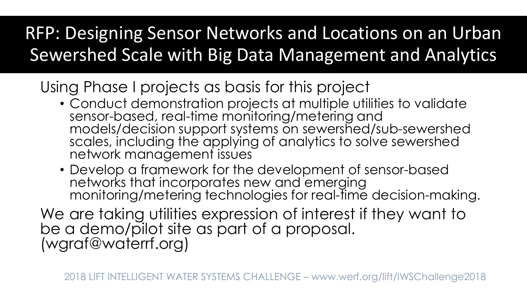#### RFP: Designing Sensor Networks and Locations on an Urban Sewershed Scale with Big Data Management and Analytics

Using Phase I projects as basis for this project

- Conduct demonstration projects at multiple utilities to validate sensor-based, real-time monitoring/metering and models/decision support systems on sewershed/sub-sewershed scales, including the applying of analytics to solve sewershed network management issues
- Develop a framework for the development of sensor-based networks that incorporates new and emerging monitoring/metering technologies for real-time decision-making.

We are taking utilities expression of interest if they want to be a demo/pilot site as part of a proposal. (wgraf@waterrf.org)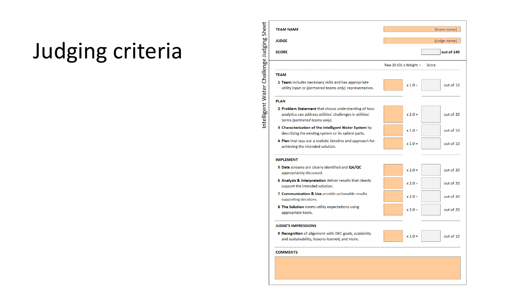### Judging criteria

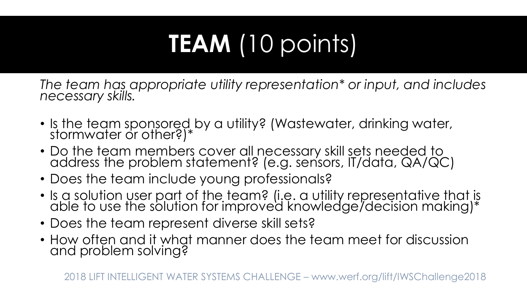# **TEAM** (10 points)

*The team has appropriate utility representation\* or input, and includes necessary skills.*

- Is the team sponsored by a utility? (Wastewater, drinking water, stormwater or other?)\*
- Do the team members cover all necessary skill sets needed to address the problem statement? (e.g. sensors, IT/data, QA/QC)
- Does the team include young professionals?
- Is a solution user part of the team? (i.e. a utility representative that is able to use the solution for improved knowledge/decision making)\*
- Does the team represent diverse skill sets?
- How often and it what manner does the team meet for discussion and problem solving?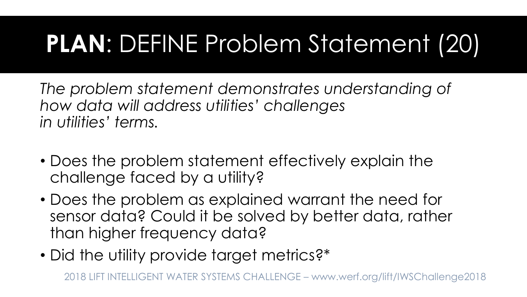### **PLAN**: DEFINE Problem Statement (20)

*The problem statement demonstrates understanding of how data will address utilities' challenges in utilities' terms.* 

- Does the problem statement effectively explain the challenge faced by a utility?
- Does the problem as explained warrant the need for sensor data? Could it be solved by better data, rather than higher frequency data?
- Did the utility provide target metrics?\*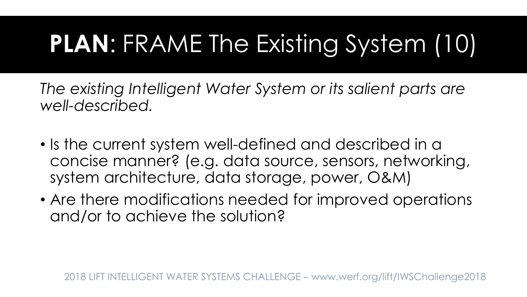## **PLAN**: FRAME The Existing System (10)

*The existing Intelligent Water System or its salient parts are well-described.*

- Is the current system well-defined and described in a concise manner? (e.g. data source, sensors, networking, system architecture, data storage, power, O&M)
- Are there modifications needed for improved operations and/or to achieve the solution?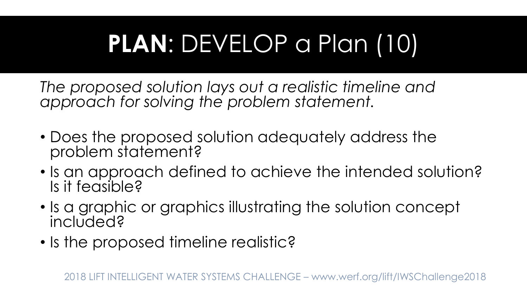## **PLAN**: DEVELOP a Plan (10)

*The proposed solution lays out a realistic timeline and approach for solving the problem statement.*

- Does the proposed solution adequately address the problem statement?
- Is an approach defined to achieve the intended solution? Is it feasible?
- Is a graphic or graphics illustrating the solution concept included?
- Is the proposed timeline realistic?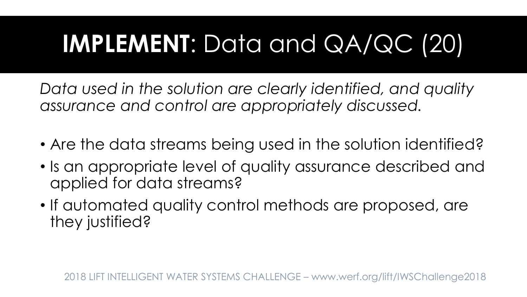### **IMPLEMENT**: Data and QA/QC (20)

*Data used in the solution are clearly identified, and quality assurance and control are appropriately discussed.*

- Are the data streams being used in the solution identified?
- Is an appropriate level of quality assurance described and applied for data streams?
- If automated quality control methods are proposed, are they justified?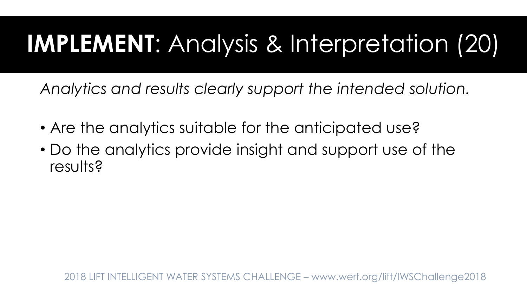### **IMPLEMENT**: Analysis & Interpretation (20)

*Analytics and results clearly support the intended solution.*

- Are the analytics suitable for the anticipated use?
- Do the analytics provide insight and support use of the results?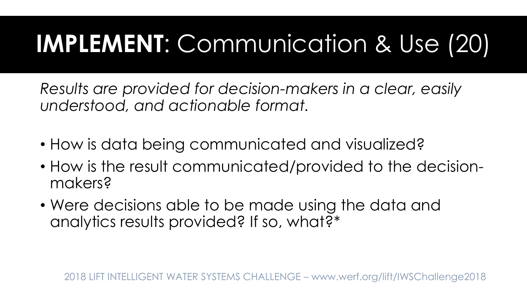### **IMPLEMENT**: Communication & Use (20)

*Results are provided for decision-makers in a clear, easily understood, and actionable format.*

- How is data being communicated and visualized?
- How is the result communicated/provided to the decisionmakers?
- Were decisions able to be made using the data and analytics results provided? If so, what?\*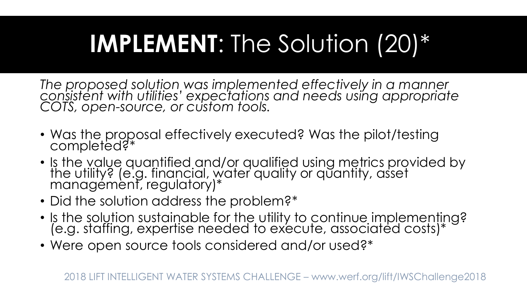### **IMPLEMENT**: The Solution (20)\*

*The proposed solution was implemented effectively in a manner consistent with utilities' expectations and needs using appropriate COTS, open-source, or custom tools.*

- Was the proposal effectively executed? Was the pilot/testing completed?\*
- Is the value quantified and/or qualified using metrics provided by the utility? (e.g. financial, water quality or quantity, asset management, regulatory)\*
- Did the solution address the problem?\*
- Is the solution sustainable for the utility to continue implementing? (e.g. staffing, expertise needed to execute, associated costs)\*
- Were open source tools considered and/or used?\*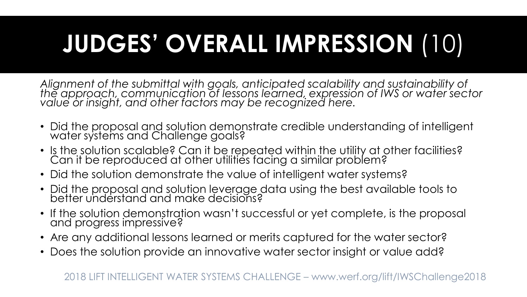# **JUDGES' OVERALL IMPRESSION** (10)

*Alignment of the submittal with goals, anticipated scalability and sustainability of the approach, communication of lessons learned, expression of IWS or water sector value or insight, and other factors may be recognized here.*

- Did the proposal and solution demonstrate credible understanding of intelligent water systems and Challenge goals?
- Is the solution scalable? Can it be repeated within the utility at other facilities? Can it be reproduced at other utilities facing a similar problem?
- Did the solution demonstrate the value of intelligent water systems?
- Did the proposal and solution leverage data using the best available tools to better understand and make decisions?
- If the solution demonstration wasn't successful or yet complete, is the proposal and progress impressive?
- Are any additional lessons learned or merits captured for the water sector?
- Does the solution provide an innovative water sector insight or value add?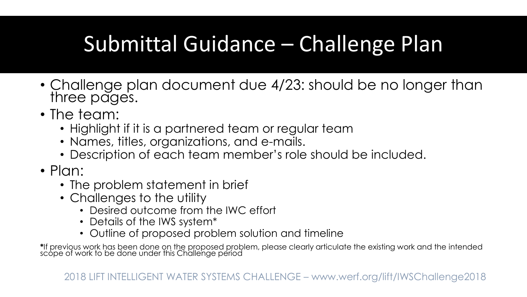#### Submittal Guidance – Challenge Plan

- Challenge plan document due 4/23: should be no longer than three pages.
- The team:
	- Highlight if it is a partnered team or regular team
	- Names, titles, organizations, and e-mails.
	- Description of each team member's role should be included.
- Plan:
	- The problem statement in brief
	- Challenges to the utility
		- Desired outcome from the IWC effort
		- Details of the IWS system\*
		- Outline of proposed problem solution and timeline

**\***If previous work has been done on the proposed problem, please clearly articulate the existing work and the intended scope of work to be done under this Challenge period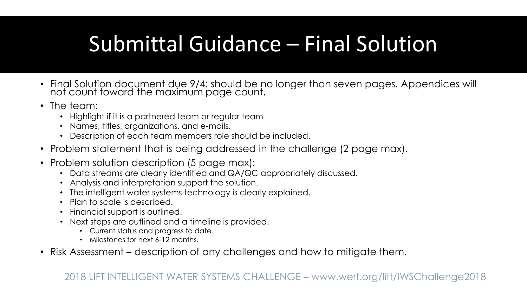### Submittal Guidance – Final Solution

- Final Solution document due 9/4: should be no longer than seven pages. Appendices will not count toward the maximum page count.
- The team:
	- Highlight if it is a partnered team or regular team
	- Names, titles, organizations, and e-mails.
	- Description of each team members role should be included.
- Problem statement that is being addressed in the challenge (2 page max).
- Problem solution description (5 page max):
	- Data streams are clearly identified and QA/QC appropriately discussed.
	- Analysis and interpretation support the solution.
	- The intelligent water systems technology is clearly explained.
	- Plan to scale is described.
	- Financial support is outlined.
	- Next steps are outlined and a timeline is provided.
		- Current status and progress to date.
		- Milestones for next 6-12 months.
- Risk Assessment description of any challenges and how to mitigate them.